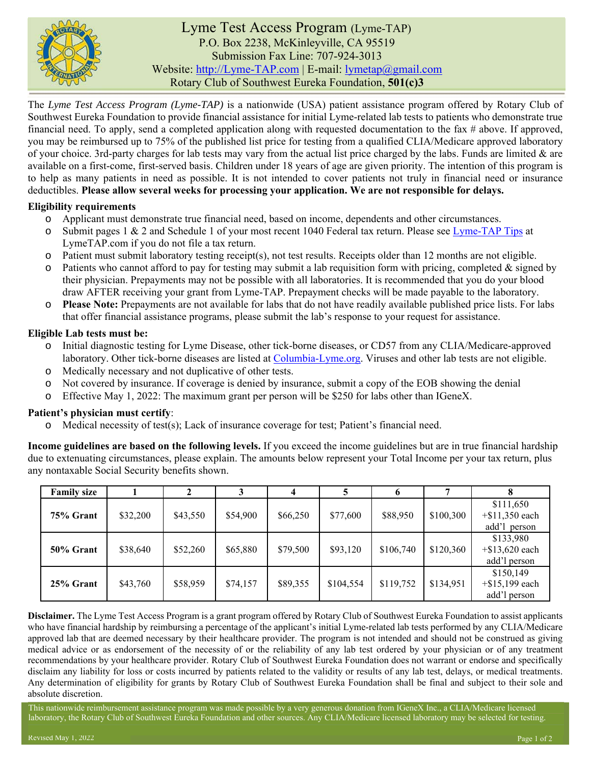

# Lyme Test Access Program (Lyme-TAP) P.O. Box 2238, McKinleyville, CA 95519 Submission Fax Line: 707-924-3013 Website: http://Lyme-TAP.com | E-mail: lymetap@gmail.com Rotary Club of Southwest Eureka Foundation, **501(c)3**

The *Lyme Test Access Program (Lyme-TAP)* is a nationwide (USA) patient assistance program offered by Rotary Club of Southwest Eureka Foundation to provide financial assistance for initial Lyme-related lab tests to patients who demonstrate true financial need. To apply, send a completed application along with requested documentation to the fax # above. If approved, you may be reimbursed up to 75% of the published list price for testing from a qualified CLIA/Medicare approved laboratory of your choice. 3rd-party charges for lab tests may vary from the actual list price charged by the labs. Funds are limited & are available on a first-come, first-served basis. Children under 18 years of age are given priority. The intention of this program is to help as many patients in need as possible. It is not intended to cover patients not truly in financial need or insurance deductibles. **Please allow several weeks for processing your application. We are not responsible for delays.**

## **Eligibility requirements**

- o Applicant must demonstrate true financial need, based on income, dependents and other circumstances.
- $\circ$  Submit pages 1 & 2 and Schedule 1 of your most recent 1040 Federal tax return. Please see Lyme-TAP Tips at LymeTAP.com if you do not file a tax return.
- o Patient must submit laboratory testing receipt(s), not test results. Receipts older than 12 months are not eligible.
- $\circ$  Patients who cannot afford to pay for testing may submit a lab requisition form with pricing, completed & signed by their physician. Prepayments may not be possible with all laboratories. It is recommended that you do your blood draw AFTER receiving your grant from Lyme-TAP. Prepayment checks will be made payable to the laboratory.
- o **Please Note:** Prepayments are not available for labs that do not have readily available published price lists. For labs that offer financial assistance programs, please submit the lab's response to your request for assistance.

#### **Eligible Lab tests must be:**

- o Initial diagnostic testing for Lyme Disease, other tick-borne diseases, or CD57 from any CLIA/Medicare-approved laboratory. Other tick-borne diseases are listed at Columbia-Lyme.org. Viruses and other lab tests are not eligible.
- o Medically necessary and not duplicative of other tests.
- o Not covered by insurance. If coverage is denied by insurance, submit a copy of the EOB showing the denial
- o Effective May 1, 2022: The maximum grant per person will be \$250 for labs other than IGeneX.

## **Patient's physician must certify**:

o Medical necessity of test(s); Lack of insurance coverage for test; Patient's financial need.

**Income guidelines are based on the following levels.** If you exceed the income guidelines but are in true financial hardship due to extenuating circumstances, please explain. The amounts below represent your Total Income per your tax return, plus any nontaxable Social Security benefits shown.

| <b>Family size</b> |          |          |          |          |           | o         |           |                                                |
|--------------------|----------|----------|----------|----------|-----------|-----------|-----------|------------------------------------------------|
| 75% Grant          | \$32,200 | \$43,550 | \$54,900 | \$66,250 | \$77,600  | \$88,950  | \$100,300 | \$111,650<br>$+$ \$11,350 each<br>add'l person |
| 50% Grant          | \$38,640 | \$52,260 | \$65,880 | \$79,500 | \$93,120  | \$106,740 | \$120,360 | \$133,980<br>$+$ \$13,620 each<br>add'l person |
| 25% Grant          | \$43,760 | \$58,959 | \$74,157 | \$89,355 | \$104,554 | \$119,752 | \$134,951 | \$150,149<br>$+$ \$15,199 each<br>add'l person |

**Disclaimer.** The Lyme Test Access Program is a grant program offered by Rotary Club of Southwest Eureka Foundation to assist applicants who have financial hardship by reimbursing a percentage of the applicant's initial Lyme-related lab tests performed by any CLIA/Medicare approved lab that are deemed necessary by their healthcare provider. The program is not intended and should not be construed as giving medical advice or as endorsement of the necessity of or the reliability of any lab test ordered by your physician or of any treatment recommendations by your healthcare provider. Rotary Club of Southwest Eureka Foundation does not warrant or endorse and specifically disclaim any liability for loss or costs incurred by patients related to the validity or results of any lab test, delays, or medical treatments. Any determination of eligibility for grants by Rotary Club of Southwest Eureka Foundation shall be final and subject to their sole and absolute discretion.

This nationwide reimbursement assistance program was made possible by a very generous donation from IGeneX Inc., a CLIA/Medicare licensed laboratory, the Rotary Club of Southwest Eureka Foundation and other sources. Any CLIA/Medicare licensed laboratory may be selected for testing.